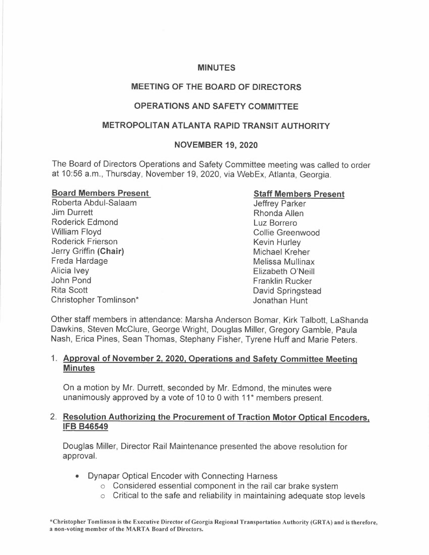#### **MINUTES**

# **MEETING OF THE BOARD OF DIRECTORS**

# **OPERATIONS AND SAFETY COMMITTEE**

### **METROPOLITAN ATLANTA RAPID TRANSIT AUTHORITY**

#### **NOVEMBER 19, 2020**

The Board of Directors Operations and Safety Committee meeting was called to order at 10:56 a.m., Thursday, November 19, 2020, via WebEx, Atlanta, Georgia.

#### **Board Members Present**

Roberta Abdul-Salaam Jim Durrett Roderick Edmond William Floyd Roderick Frierson Jerry Griffin **(Chair)**  Freda Hardage Alicia Ivey John Pond Rita Scott Christopher Tomlinson\*

#### **Staff Members Present**

Jeffrey Parker Rhonda Allen Luz Borrero Collie Greenwood Kevin Hurley Michael Kreher Melissa Mullinax Elizabeth O'Neill Franklin Rucker David Springstead Jonathan Hunt

Other staff members in attendance: Marsha Anderson Bomar, Kirk Talbott, LaShanda Dawkins, Steven McClure, George Wright, Douglas Miller, Gregory Gamble, Paula Nash, Erica Pines, Sean Thomas, Stephany Fisher, Tyrene Huff and Marie Peters.

#### 1. **Approval of November 2, 2020, Operations and Safety Committee Meeting Minutes**

On a motion by Mr. Durrett, seconded by Mr. Edmond, the minutes were unanimously approved by a vote of 10 to 0 with  $11<sup>*</sup>$  members present.

#### 2. **Resolution Authorizing the Procurement of Traction Motor Optical Encoders, IFB 846549**

Douglas Miller, Director Rail Maintenance presented the above resolution for approval.

- Dynapar Optical Encoder with Connecting Harness
	- o Considered essential component in the rail car brake system
	- $\circ$  Critical to the safe and reliability in maintaining adequate stop levels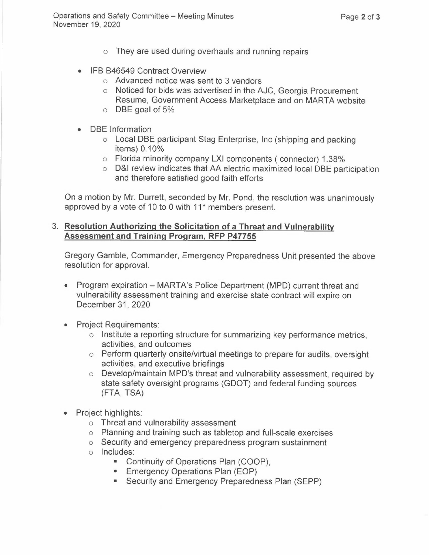- o They are used during overhauls and running repairs
- IFB B46549 Contract Overview
	- o Advanced notice was sent to 3 vendors
	- o Noticed for bids was advertised in the AJC, Georgia Procurement Resume, Government Access Marketplace and on MARTA website
	- o DBE goal of 5%
- DBE Information
	- o Local DBE participant Stag Enterprise, Inc (shipping and packing items) 0.10%
	- o Florida minority company LXI components ( connector) 1.38%
	- o D&I review indicates that AA electric maximized local DBE participation and therefore satisfied good faith efforts

On a motion by Mr. Durrett, seconded by Mr. Pond, the resolution was unanimously approved by a vote of 10 to 0 with 11<sup>\*</sup> members present.

### 3. **Resolution Authorizing the Solicitation of a Threat and Vulnerability Assessment and Training Program, RFP P47755**

Gregory Gamble, Commander, Emergency Preparedness Unit presented the above resolution for approval.

- Program expiration MARTA's Police Department (MPD) current threat and vulnerability assessment training and exercise state contract will expire on December 31, 2020
- Project Requirements:
	- o Institute a reporting structure for summarizing key performance metrics, activities, and outcomes
	- o Perform quarterly onsite/virtual meetings to prepare for audits, oversight activities, and executive briefings
	- $\circ$  Develop/maintain MPD's threat and vulnerability assessment, required by state safety oversight programs (GDOT) and federal funding sources (FTA, TSA)
- Project highlights:
	- o Threat and vulnerability assessment
	- o Planning and training such as tabletop and full-scale exercises
	- o Security and emergency preparedness program sustainment
	- o Includes:
		- Continuity of Operations Plan (COOP),
		- Emergency Operations Plan (EOP)
		- Security and Emergency Preparedness Plan (SEPP)